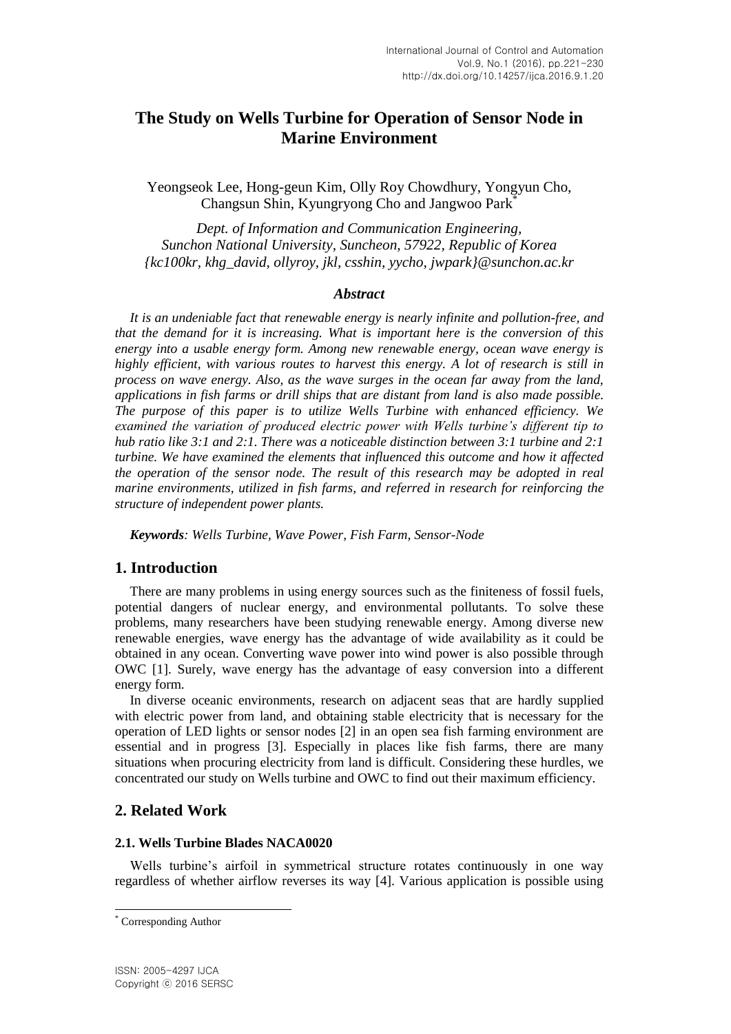# **The Study on Wells Turbine for Operation of Sensor Node in Marine Environment**

Yeongseok Lee, Hong-geun Kim, Olly Roy Chowdhury, Yongyun Cho, Changsun Shin, Kyungryong Cho and Jangwoo Park\*

*Dept. of Information and Communication Engineering, Sunchon National University, Suncheon, 57922, Republic of Korea {kc100kr, khg\_david, ollyroy, jkl, csshin, yycho, jwpark}@sunchon.ac.kr*

#### *Abstract*

*It is an undeniable fact that renewable energy is nearly infinite and pollution-free, and that the demand for it is increasing. What is important here is the conversion of this energy into a usable energy form. Among new renewable energy, ocean wave energy is highly efficient, with various routes to harvest this energy. A lot of research is still in process on wave energy. Also, as the wave surges in the ocean far away from the land, applications in fish farms or drill ships that are distant from land is also made possible. The purpose of this paper is to utilize Wells Turbine with enhanced efficiency. We examined the variation of produced electric power with Wells turbine's different tip to hub ratio like 3:1 and 2:1. There was a noticeable distinction between 3:1 turbine and 2:1 turbine. We have examined the elements that influenced this outcome and how it affected the operation of the sensor node. The result of this research may be adopted in real marine environments, utilized in fish farms, and referred in research for reinforcing the structure of independent power plants.*

*Keywords: Wells Turbine, Wave Power, Fish Farm, Sensor-Node*

# **1. Introduction**

There are many problems in using energy sources such as the finiteness of fossil fuels, potential dangers of nuclear energy, and environmental pollutants. To solve these problems, many researchers have been studying renewable energy. Among diverse new renewable energies, wave energy has the advantage of wide availability as it could be obtained in any ocean. Converting wave power into wind power is also possible through OWC [1]. Surely, wave energy has the advantage of easy conversion into a different energy form.

In diverse oceanic environments, research on adjacent seas that are hardly supplied with electric power from land, and obtaining stable electricity that is necessary for the operation of LED lights or sensor nodes [2] in an open sea fish farming environment are essential and in progress [3]. Especially in places like fish farms, there are many situations when procuring electricity from land is difficult. Considering these hurdles, we concentrated our study on Wells turbine and OWC to find out their maximum efficiency.

# **2. Related Work**

#### **2.1. Wells Turbine Blades NACA0020**

Wells turbine's airfoil in symmetrical structure rotates continuously in one way regardless of whether airflow reverses its way [4]. Various application is possible using

l

<sup>\*</sup> Corresponding Author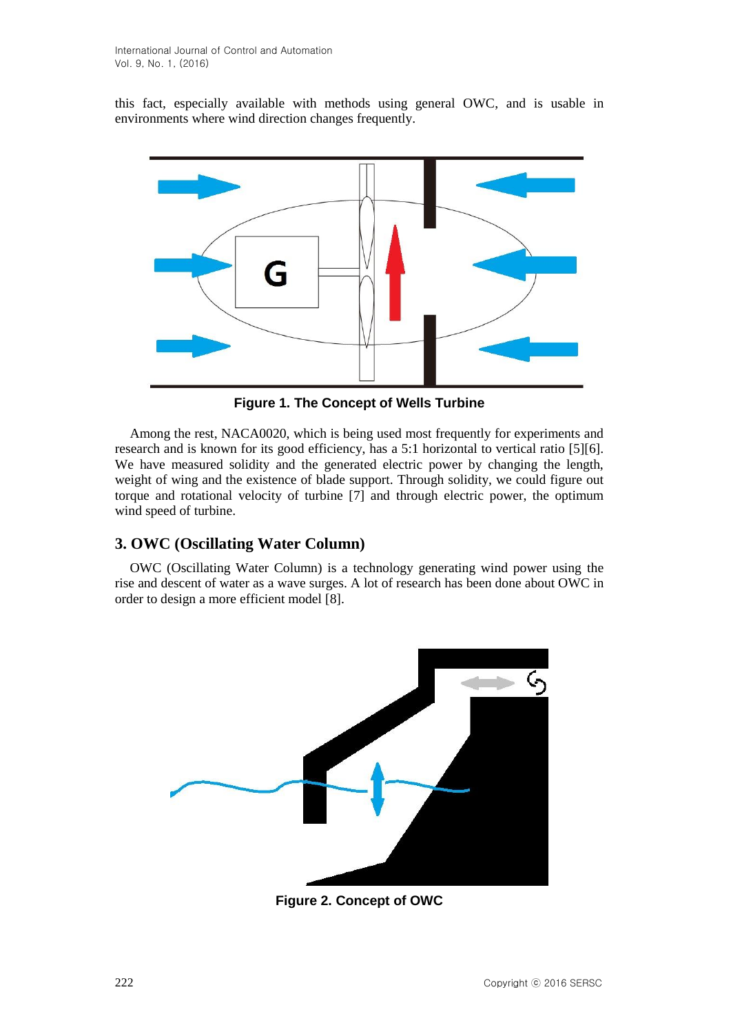this fact, especially available with methods using general OWC, and is usable in environments where wind direction changes frequently.



**Figure 1. The Concept of Wells Turbine**

Among the rest, NACA0020, which is being used most frequently for experiments and research and is known for its good efficiency, has a 5:1 horizontal to vertical ratio [5][6]. We have measured solidity and the generated electric power by changing the length, weight of wing and the existence of blade support. Through solidity, we could figure out torque and rotational velocity of turbine [7] and through electric power, the optimum wind speed of turbine.

# **3. OWC (Oscillating Water Column)**

OWC (Oscillating Water Column) is a technology generating wind power using the rise and descent of water as a wave surges. A lot of research has been done about OWC in order to design a more efficient model [8].



**Figure 2. Concept of OWC**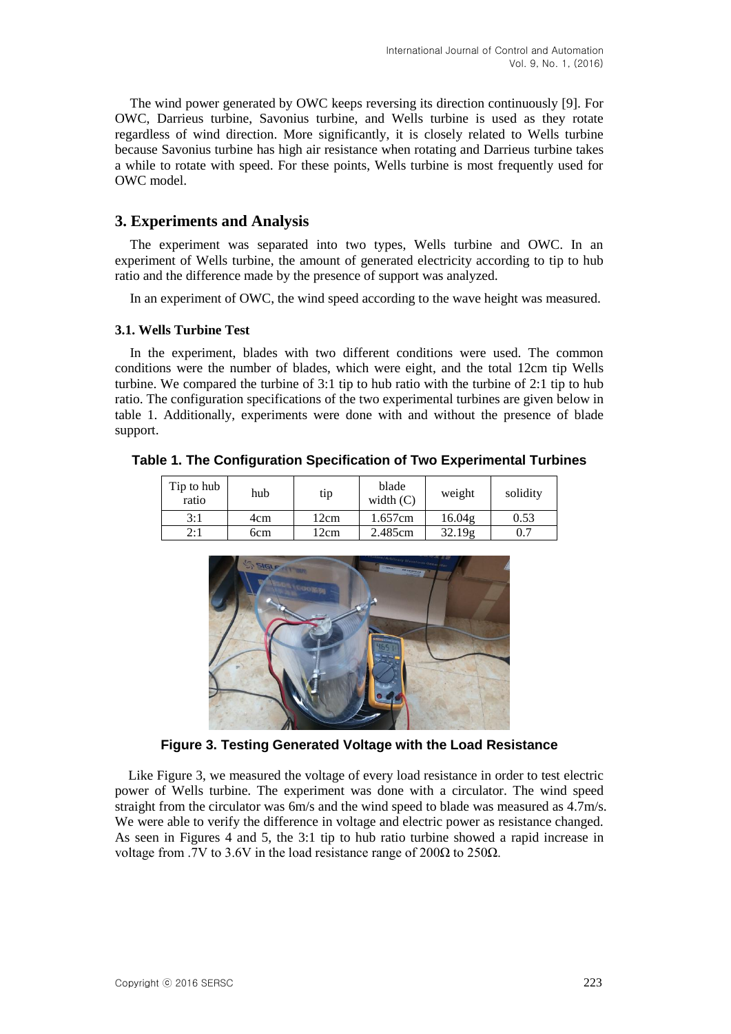The wind power generated by OWC keeps reversing its direction continuously [9]. For OWC, Darrieus turbine, Savonius turbine, and Wells turbine is used as they rotate regardless of wind direction. More significantly, it is closely related to Wells turbine because Savonius turbine has high air resistance when rotating and Darrieus turbine takes a while to rotate with speed. For these points, Wells turbine is most frequently used for OWC model.

## **3. Experiments and Analysis**

The experiment was separated into two types, Wells turbine and OWC. In an experiment of Wells turbine, the amount of generated electricity according to tip to hub ratio and the difference made by the presence of support was analyzed.

In an experiment of OWC, the wind speed according to the wave height was measured.

#### **3.1. Wells Turbine Test**

In the experiment, blades with two different conditions were used. The common conditions were the number of blades, which were eight, and the total 12cm tip Wells turbine. We compared the turbine of 3:1 tip to hub ratio with the turbine of 2:1 tip to hub ratio. The configuration specifications of the two experimental turbines are given below in table 1. Additionally, experiments were done with and without the presence of blade support.

**Table 1. The Configuration Specification of Two Experimental Turbines**

| Tip to hub<br>ratio | hub | tip  | blade<br>width $(C)$ | weight | solidity |
|---------------------|-----|------|----------------------|--------|----------|
| 3:1                 | 4cm | 12cm | 1.657cm              | 16.04g | 0.53     |
| 2:1                 | 6cm | 12cm | 2.485cm              | 32.19g |          |



**Figure 3. Testing Generated Voltage with the Load Resistance**

Like Figure 3, we measured the voltage of every load resistance in order to test electric power of Wells turbine. The experiment was done with a circulator. The wind speed straight from the circulator was 6m/s and the wind speed to blade was measured as 4.7m/s. We were able to verify the difference in voltage and electric power as resistance changed. As seen in Figures 4 and 5, the 3:1 tip to hub ratio turbine showed a rapid increase in voltage from .7V to 3.6V in the load resistance range of 200 $\Omega$  to 250 $\Omega$ .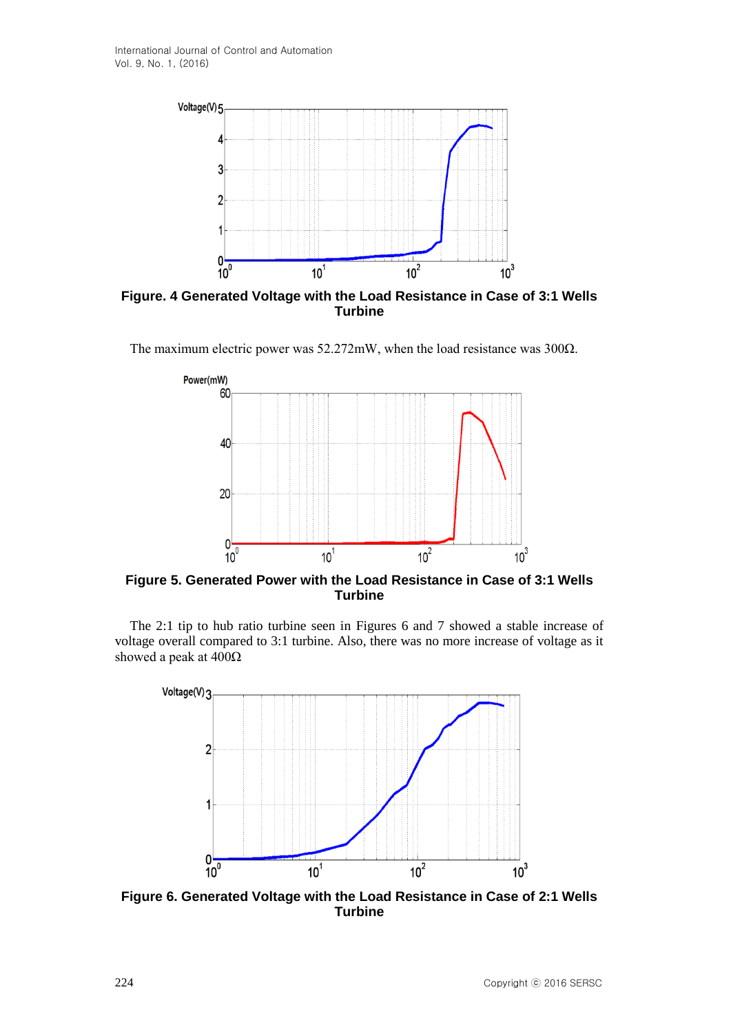

**Figure. 4 Generated Voltage with the Load Resistance in Case of 3:1 Wells Turbine**

The maximum electric power was 52.272mW, when the load resistance was 300Ω.



**Figure 5. Generated Power with the Load Resistance in Case of 3:1 Wells Turbine**

The 2:1 tip to hub ratio turbine seen in Figures 6 and 7 showed a stable increase of voltage overall compared to 3:1 turbine. Also, there was no more increase of voltage as it showed a peak at  $400\Omega$ 



**Figure 6. Generated Voltage with the Load Resistance in Case of 2:1 Wells Turbine**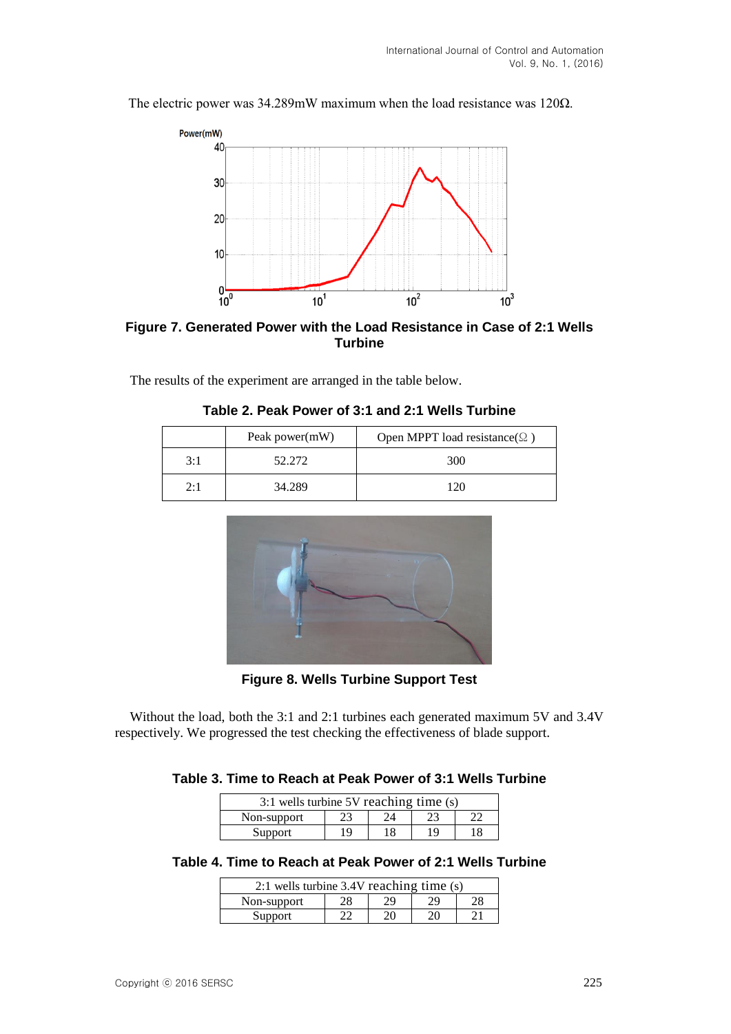The electric power was  $34.289$ mW maximum when the load resistance was 120 $\Omega$ .



**Figure 7. Generated Power with the Load Resistance in Case of 2:1 Wells Turbine**

The results of the experiment are arranged in the table below.

|     | Peak power(mW) | Open MPPT load resistance( $\Omega$ ) |  |
|-----|----------------|---------------------------------------|--|
| 3:1 | 52.272         | 300                                   |  |
| 2:1 | 34.289         | 120                                   |  |

**Table 2. Peak Power of 3:1 and 2:1 Wells Turbine**



**Figure 8. Wells Turbine Support Test**

Without the load, both the 3:1 and 2:1 turbines each generated maximum 5V and 3.4V respectively. We progressed the test checking the effectiveness of blade support.

| Table 3. Time to Reach at Peak Power of 3:1 Wells Turbine |  |
|-----------------------------------------------------------|--|
|-----------------------------------------------------------|--|

| 3:1 wells turbine 5V reaching time (s) |    |    |    |  |
|----------------------------------------|----|----|----|--|
| Non-support                            | 23 |    |    |  |
| Support                                | 19 | 18 | 19 |  |

#### **Table 4. Time to Reach at Peak Power of 2:1 Wells Turbine**

| 2:1 wells turbine 3.4V reaching time (s) |    |    |    |    |
|------------------------------------------|----|----|----|----|
| Non-support                              | 28 | 29 | 29 | 28 |
| Support                                  | 22 | 20 | 20 |    |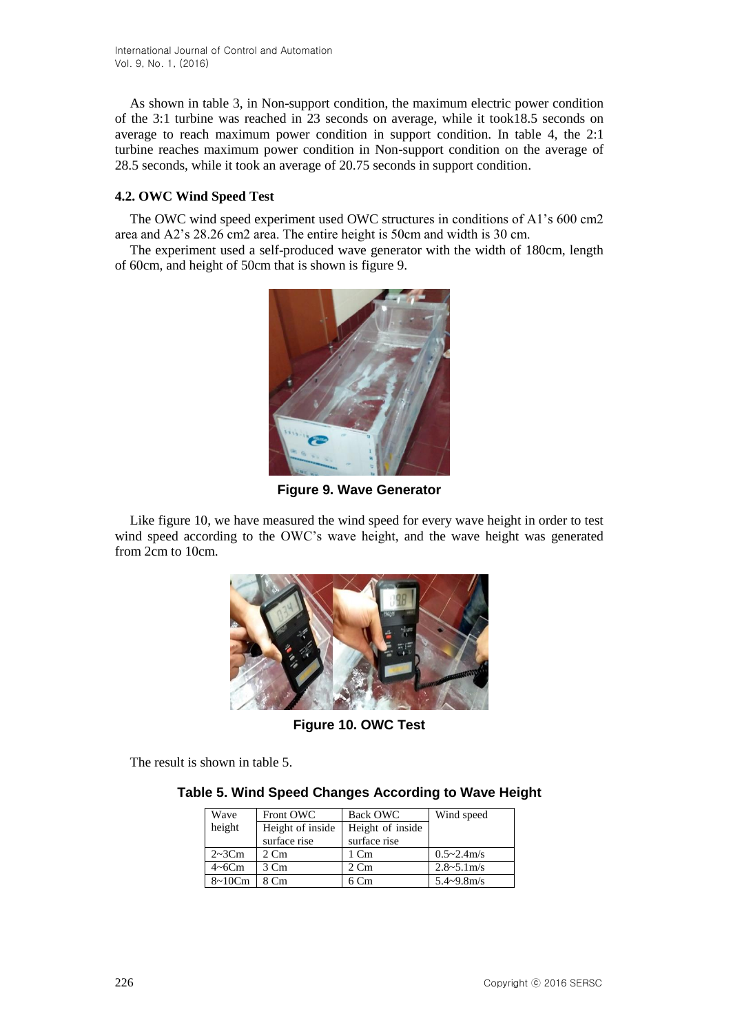As shown in table 3, in Non-support condition, the maximum electric power condition of the 3:1 turbine was reached in 23 seconds on average, while it took18.5 seconds on average to reach maximum power condition in support condition. In table 4, the 2:1 turbine reaches maximum power condition in Non-support condition on the average of 28.5 seconds, while it took an average of 20.75 seconds in support condition.

## **4.2. OWC Wind Speed Test**

The OWC wind speed experiment used OWC structures in conditions of A1's 600 cm2 area and A2's 28.26 cm2 area. The entire height is 50cm and width is 30 cm.

The experiment used a self-produced wave generator with the width of 180cm, length of 60cm, and height of 50cm that is shown is figure 9.



**Figure 9. Wave Generator**

Like figure 10, we have measured the wind speed for every wave height in order to test wind speed according to the OWC's wave height, and the wave height was generated from 2cm to 10cm.



**Figure 10. OWC Test**

The result is shown in table 5.

#### **Table 5. Wind Speed Changes According to Wave Height**

| Wave          | Front OWC        | <b>Back OWC</b>  | Wind speed         |
|---------------|------------------|------------------|--------------------|
| height        | Height of inside | Height of inside |                    |
|               | surface rise     | surface rise     |                    |
| $2 \sim 3$ Cm | $2 \, \text{Cm}$ | 1 Cm             | $0.5 \sim 2.4$ m/s |
| $4\neg$ 6Cm   | 3 Cm             | $2 \text{ Cm}$   | $2.8 - 5.1$ m/s    |
| $8\sim10$ Cm  | 8 Cm             | 6 Cm             | $5.4 - 9.8$ m/s    |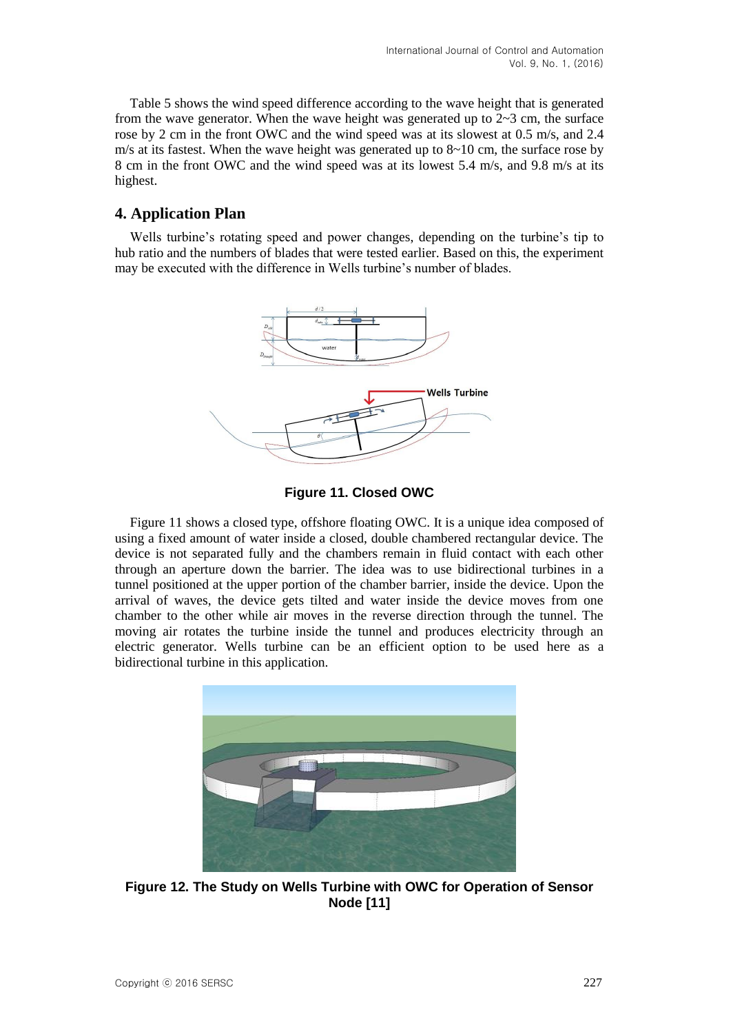Table 5 shows the wind speed difference according to the wave height that is generated from the wave generator. When the wave height was generated up to  $2\nu$ 3 cm, the surface rose by 2 cm in the front OWC and the wind speed was at its slowest at 0.5 m/s, and 2.4  $m/s$  at its fastest. When the wave height was generated up to  $8\nu$  m, the surface rose by 8 cm in the front OWC and the wind speed was at its lowest 5.4 m/s, and 9.8 m/s at its highest.

# **4. Application Plan**

Wells turbine's rotating speed and power changes, depending on the turbine's tip to hub ratio and the numbers of blades that were tested earlier. Based on this, the experiment may be executed with the difference in Wells turbine's number of blades.



**Figure 11. Closed OWC**

Figure 11 shows a closed type, offshore floating OWC. It is a unique idea composed of using a fixed amount of water inside a closed, double chambered rectangular device. The device is not separated fully and the chambers remain in fluid contact with each other through an aperture down the barrier. The idea was to use bidirectional turbines in a tunnel positioned at the upper portion of the chamber barrier, inside the device. Upon the arrival of waves, the device gets tilted and water inside the device moves from one chamber to the other while air moves in the reverse direction through the tunnel. The moving air rotates the turbine inside the tunnel and produces electricity through an electric generator. Wells turbine can be an efficient option to be used here as a bidirectional turbine in this application.



**Figure 12. The Study on Wells Turbine with OWC for Operation of Sensor Node [11]**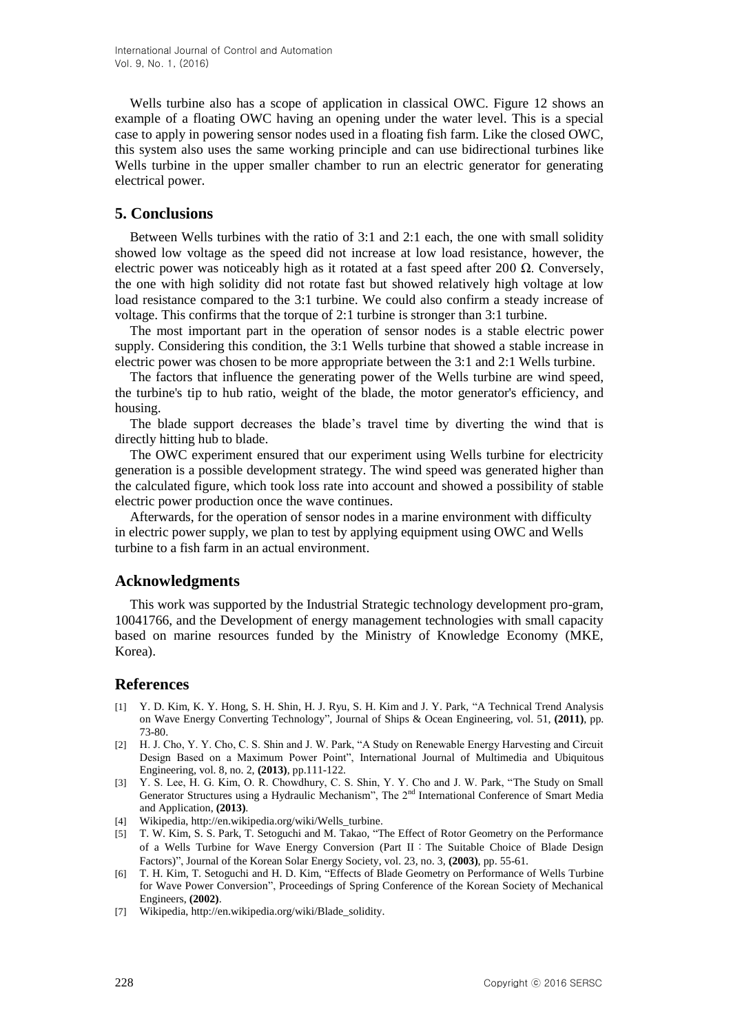Wells turbine also has a scope of application in classical OWC. Figure 12 shows an example of a floating OWC having an opening under the water level. This is a special case to apply in powering sensor nodes used in a floating fish farm. Like the closed OWC, this system also uses the same working principle and can use bidirectional turbines like Wells turbine in the upper smaller chamber to run an electric generator for generating electrical power.

## **5. Conclusions**

Between Wells turbines with the ratio of 3:1 and 2:1 each, the one with small solidity showed low voltage as the speed did not increase at low load resistance, however, the electric power was noticeably high as it rotated at a fast speed after 200  $\Omega$ . Conversely, the one with high solidity did not rotate fast but showed relatively high voltage at low load resistance compared to the 3:1 turbine. We could also confirm a steady increase of voltage. This confirms that the torque of 2:1 turbine is stronger than 3:1 turbine.

The most important part in the operation of sensor nodes is a stable electric power supply. Considering this condition, the 3:1 Wells turbine that showed a stable increase in electric power was chosen to be more appropriate between the 3:1 and 2:1 Wells turbine.

The factors that influence the generating power of the Wells turbine are wind speed, the turbine's tip to hub ratio, weight of the blade, the motor generator's efficiency, and housing.

The blade support decreases the blade's travel time by diverting the wind that is directly hitting hub to blade.

The OWC experiment ensured that our experiment using Wells turbine for electricity generation is a possible development strategy. The wind speed was generated higher than the calculated figure, which took loss rate into account and showed a possibility of stable electric power production once the wave continues.

Afterwards, for the operation of sensor nodes in a marine environment with difficulty in electric power supply, we plan to test by applying equipment using OWC and Wells turbine to a fish farm in an actual environment.

## **Acknowledgments**

This work was supported by the Industrial Strategic technology development pro-gram, 10041766, and the Development of energy management technologies with small capacity based on marine resources funded by the Ministry of Knowledge Economy (MKE, Korea).

## **References**

- [1] Y. D. Kim, K. Y. Hong, S. H. Shin, H. J. Ryu, S. H. Kim and J. Y. Park, "A Technical Trend Analysis on Wave Energy Converting Technology", Journal of Ships & Ocean Engineering, vol. 51, **(2011)**, pp. 73-80.
- [2] H. J. Cho, Y. Y. Cho, C. S. Shin and J. W. Park, "A Study on Renewable Energy Harvesting and Circuit Design Based on a Maximum Power Point", International Journal of Multimedia and Ubiquitous Engineering, vol. 8, no. 2, **(2013)**, pp.111-122.
- [3] Y. S. Lee, H. G. Kim, O. R. Chowdhury, C. S. Shin, Y. Y. Cho and J. W. Park, "The Study on Small Generator Structures using a Hydraulic Mechanism", The 2<sup>nd</sup> International Conference of Smart Media and Application, **(2013)**.
- [4] Wikipedia, http://en.wikipedia.org/wiki/Wells\_turbine.
- [5] T. W. Kim, S. S. Park, T. Setoguchi and M. Takao, "The Effect of Rotor Geometry on the Performance of a Wells Turbine for Wave Energy Conversion (Part II:The Suitable Choice of Blade Design Factors)", Journal of the Korean Solar Energy Society, vol. 23, no. 3, **(2003)**, pp. 55-61.
- [6] T. H. Kim, T. Setoguchi and H. D. Kim, "Effects of Blade Geometry on Performance of Wells Turbine for Wave Power Conversion", Proceedings of Spring Conference of the Korean Society of Mechanical Engineers, **(2002)**.
- [7] Wikipedia, http://en.wikipedia.org/wiki/Blade\_solidity.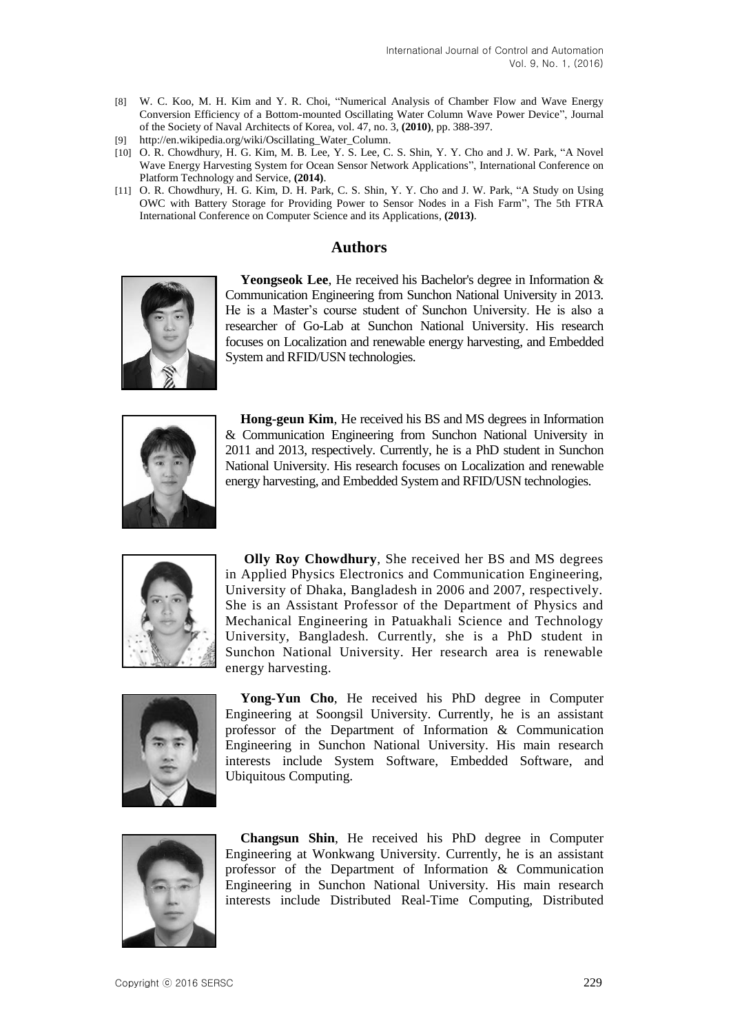- [8] W. C. Koo, M. H. Kim and Y. R. Choi, "Numerical Analysis of Chamber Flow and Wave Energy Conversion Efficiency of a Bottom-mounted Oscillating Water Column Wave Power Device", Journal of the Society of Naval Architects of Korea, vol. 47, no. 3, **(2010)**, pp. 388-397.
- [9] http://en.wikipedia.org/wiki/Oscillating\_Water\_Column.
- [10] O. R. Chowdhury, H. G. Kim, M. B. Lee, Y. S. Lee, C. S. Shin, Y. Y. Cho and J. W. Park, "A Novel Wave Energy Harvesting System for Ocean Sensor Network Applications", International Conference on Platform Technology and Service, **(2014)**.
- [11] O. R. Chowdhury, H. G. Kim, D. H. Park, C. S. Shin, Y. Y. Cho and J. W. Park, "A Study on Using OWC with Battery Storage for Providing Power to Sensor Nodes in a Fish Farm", The 5th FTRA International Conference on Computer Science and its Applications, **(2013)**.

#### **Authors**



**Yeongseok Lee**, He received his Bachelor's degree in Information & Communication Engineering from Sunchon National University in 2013. He is a Master's course student of Sunchon University. He is also a researcher of Go-Lab at Sunchon National University. His research focuses on Localization and renewable energy harvesting, and Embedded System and RFID/USN technologies.



**Hong-geun Kim**, He received his BS and MS degrees in Information & Communication Engineering from Sunchon National University in 2011 and 2013, respectively. Currently, he is a PhD student in Sunchon National University. His research focuses on Localization and renewable energy harvesting, and Embedded System and RFID/USN technologies.



**Olly Roy Chowdhury**, She received her BS and MS degrees in Applied Physics Electronics and Communication Engineering, University of Dhaka, Bangladesh in 2006 and 2007, respectively. She is an Assistant Professor of the Department of Physics and Mechanical Engineering in Patuakhali Science and Technology University, Bangladesh. Currently, she is a PhD student in Sunchon National University. Her research area is renewable energy harvesting.



**Yong-Yun Cho**, He received his PhD degree in Computer Engineering at Soongsil University. Currently, he is an assistant professor of the Department of Information & Communication Engineering in Sunchon National University. His main research interests include System Software, Embedded Software, and Ubiquitous Computing.



**Changsun Shin**, He received his PhD degree in Computer Engineering at Wonkwang University. Currently, he is an assistant professor of the Department of Information & Communication Engineering in Sunchon National University. His main research interests include Distributed Real-Time Computing, Distributed